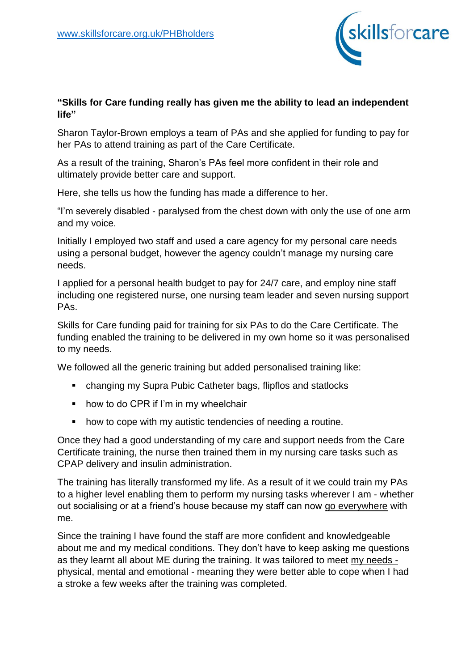

## **"Skills for Care funding really has given me the ability to lead an independent life"**

Sharon Taylor-Brown employs a team of PAs and she applied for funding to pay for her PAs to attend training as part of the Care Certificate.

As a result of the training, Sharon's PAs feel more confident in their role and ultimately provide better care and support.

Here, she tells us how the funding has made a difference to her.

"I'm severely disabled - paralysed from the chest down with only the use of one arm and my voice.

Initially I employed two staff and used a care agency for my personal care needs using a personal budget, however the agency couldn't manage my nursing care needs.

I applied for a personal health budget to pay for 24/7 care, and employ nine staff including one registered nurse, one nursing team leader and seven nursing support PAs.

Skills for Care funding paid for training for six PAs to do the Care Certificate. The funding enabled the training to be delivered in my own home so it was personalised to my needs.

We followed all the generic training but added personalised training like:

- changing my Supra Pubic Catheter bags, flipflos and statlocks
- how to do CPR if I'm in my wheelchair
- how to cope with my autistic tendencies of needing a routine.

Once they had a good understanding of my care and support needs from the Care Certificate training, the nurse then trained them in my nursing care tasks such as CPAP delivery and insulin administration.

The training has literally transformed my life. As a result of it we could train my PAs to a higher level enabling them to perform my nursing tasks wherever I am - whether out socialising or at a friend's house because my staff can now go everywhere with me.

Since the training I have found the staff are more confident and knowledgeable about me and my medical conditions. They don't have to keep asking me questions as they learnt all about ME during the training. It was tailored to meet my needs physical, mental and emotional - meaning they were better able to cope when I had a stroke a few weeks after the training was completed.